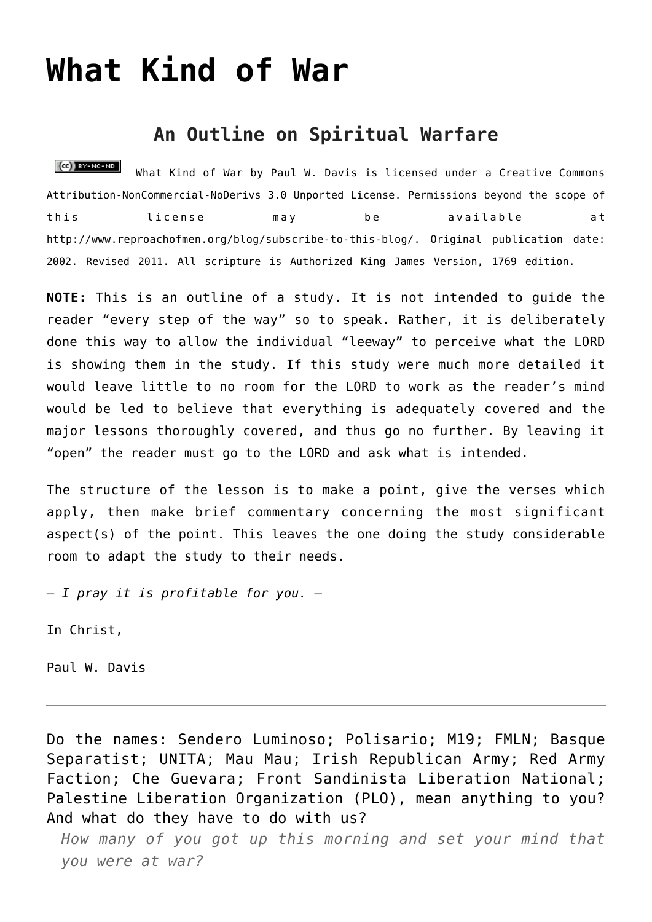# **[What Kind of War](http://reproachofmen.org/spiritualwar/what-kind-of-war/)**

## **An Outline on Spiritual Warfare**

 $(C<sub>c</sub>)$  BY-NC-ND What Kind of War by [Paul W. Davis](http://www.reproachofmen.org/blog/spiritualwar/what-kind-of-war/) is licensed under a [Creative Commons](http://creativecommons.org/licenses/by-nc-nd/3.0/) [Attribution-NonCommercial-NoDerivs 3.0 Unported License.](http://creativecommons.org/licenses/by-nc-nd/3.0/) Permissions beyond the scope of this license may be available at <http://www.reproachofmen.org/blog/subscribe-to-this-blog/>. Original publication date: 2002. Revised 2011. All scripture is Authorized King James Version, 1769 edition.

**NOTE:** This is an outline of a study. It is not intended to guide the reader "every step of the way" so to speak. Rather, it is deliberately done this way to allow the individual "leeway" to perceive what the LORD is showing them in the study. If this study were much more detailed it would leave little to no room for the LORD to work as the reader's mind would be led to believe that everything is adequately covered and the major lessons thoroughly covered, and thus go no further. By leaving it "open" the reader must go to the LORD and ask what is intended.

The structure of the lesson is to make a point, give the verses which apply, then make brief commentary concerning the most significant aspect(s) of the point. This leaves the one doing the study considerable room to adapt the study to their needs.

— *I pray it is profitable for you.* —

In Christ,

Paul W. Davis

Do the names: Sendero Luminoso; Polisario; M19; FMLN; Basque Separatist; UNITA; Mau Mau; Irish Republican Army; Red Army Faction; Che Guevara; Front Sandinista Liberation National; Palestine Liberation Organization (PLO), mean anything to you? And what do they have to do with us?

*How many of you got up this morning and set your mind that you were at war?*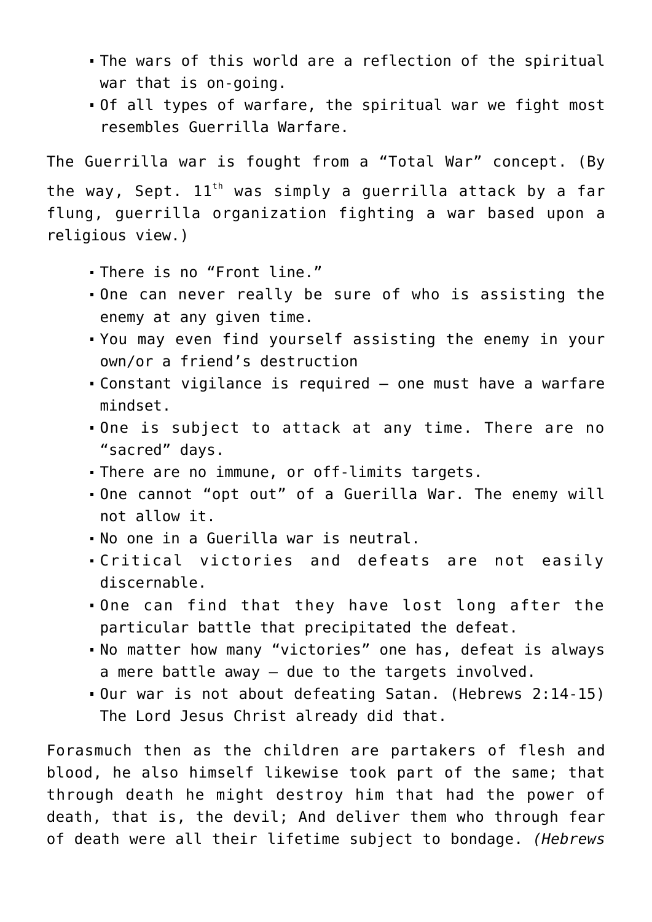- The wars of this world are a reflection of the spiritual war that is on-going.
- Of all types of warfare, the spiritual war we fight most resembles Guerrilla Warfare.

The Guerrilla war is fought from a "Total War" concept. (By the way, Sept.  $11<sup>th</sup>$  was simply a guerrilla attack by a far flung, guerrilla organization fighting a war based upon a religious view.)

- There is no "Front line."
- One can never really be sure of who is assisting the enemy at any given time.
- You may even find yourself assisting the enemy in your own/or a friend's destruction
- Constant vigilance is required one must have a warfare mindset.
- One is subject to attack at any time. There are no "sacred" days.
- There are no immune, or off-limits targets.
- One cannot "opt out" of a Guerilla War. The enemy will not allow it.
- No one in a Guerilla war is neutral.
- Critical victories and defeats are not easily discernable.
- One can find that they have lost long after the particular battle that precipitated the defeat.
- No matter how many "victories" one has, defeat is always a mere battle away — due to the targets involved.
- Our war is not about defeating Satan. (Hebrews 2:14-15) The Lord Jesus Christ already did that.

Forasmuch then as the children are partakers of flesh and blood, he also himself likewise took part of the same; that through death he might destroy him that had the power of death, that is, the devil; And deliver them who through fear of death were all their lifetime subject to bondage. *(Hebrews*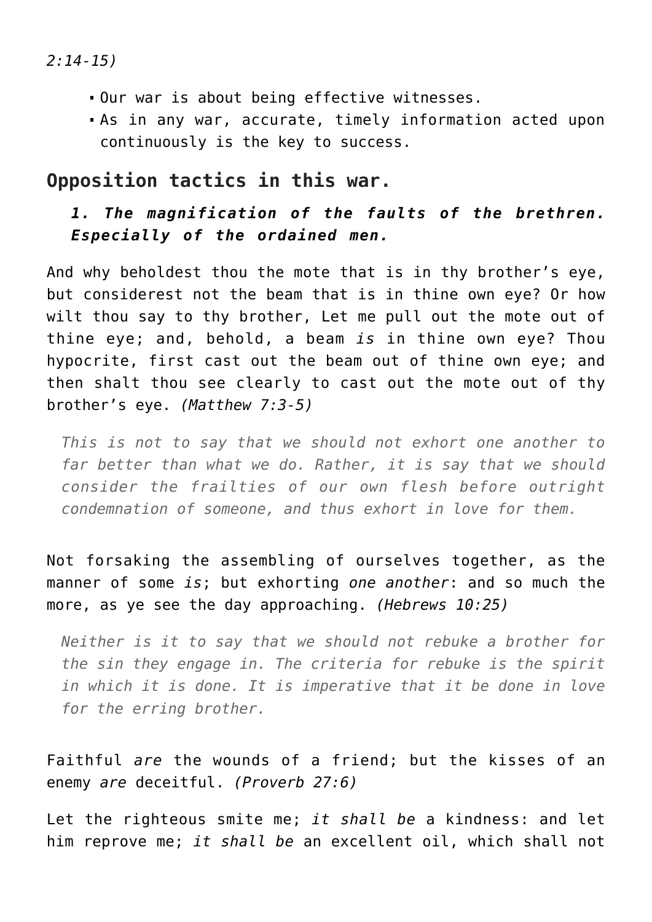*2:14-15)*

- Our war is about being effective witnesses.
- As in any war, accurate, timely information acted upon continuously is the key to success.

# **Opposition tactics in this war.**

## *1. The magnification of the faults of the brethren. Especially of the ordained men.*

And why beholdest thou the mote that is in thy brother's eye, but considerest not the beam that is in thine own eye? Or how wilt thou say to thy brother, Let me pull out the mote out of thine eye; and, behold, a beam *is* in thine own eye? Thou hypocrite, first cast out the beam out of thine own eye; and then shalt thou see clearly to cast out the mote out of thy brother's eye. *(Matthew 7:3-5)*

*This is not to say that we should not exhort one another to far better than what we do. Rather, it is say that we should consider the frailties of our own flesh before outright condemnation of someone, and thus exhort in love for them.*

Not forsaking the assembling of ourselves together, as the manner of some *is*; but exhorting *one another*: and so much the more, as ye see the day approaching. *(Hebrews 10:25)*

*Neither is it to say that we should not rebuke a brother for the sin they engage in. The criteria for rebuke is the spirit in which it is done. It is imperative that it be done in love for the erring brother.*

Faithful *are* the wounds of a friend; but the kisses of an enemy *are* deceitful. *(Proverb 27:6)*

Let the righteous smite me; *it shall be* a kindness: and let him reprove me; *it shall be* an excellent oil, which shall not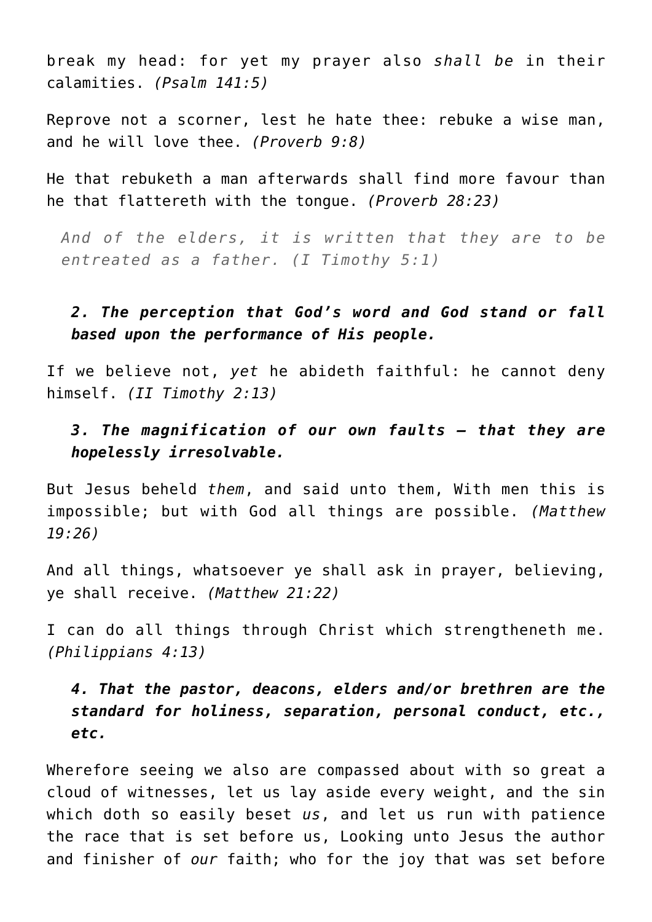break my head: for yet my prayer also *shall be* in their calamities. *(Psalm 141:5)*

Reprove not a scorner, lest he hate thee: rebuke a wise man, and he will love thee. *(Proverb 9:8)*

He that rebuketh a man afterwards shall find more favour than he that flattereth with the tongue. *(Proverb 28:23)*

*And of the elders, it is written that they are to be entreated as a father. (I Timothy 5:1)*

## *2. The perception that God's word and God stand or fall based upon the performance of His people.*

If we believe not, *yet* he abideth faithful: he cannot deny himself. *(II Timothy 2:13)*

## *3. The magnification of our own faults — that they are hopelessly irresolvable.*

But Jesus beheld *them*, and said unto them, With men this is impossible; but with God all things are possible. *(Matthew 19:26)*

And all things, whatsoever ye shall ask in prayer, believing, ye shall receive. *(Matthew 21:22)*

I can do all things through Christ which strengtheneth me. *(Philippians 4:13)*

*4. That the pastor, deacons, elders and/or brethren are the standard for holiness, separation, personal conduct, etc., etc.*

Wherefore seeing we also are compassed about with so great a cloud of witnesses, let us lay aside every weight, and the sin which doth so easily beset *us*, and let us run with patience the race that is set before us, Looking unto Jesus the author and finisher of *our* faith; who for the joy that was set before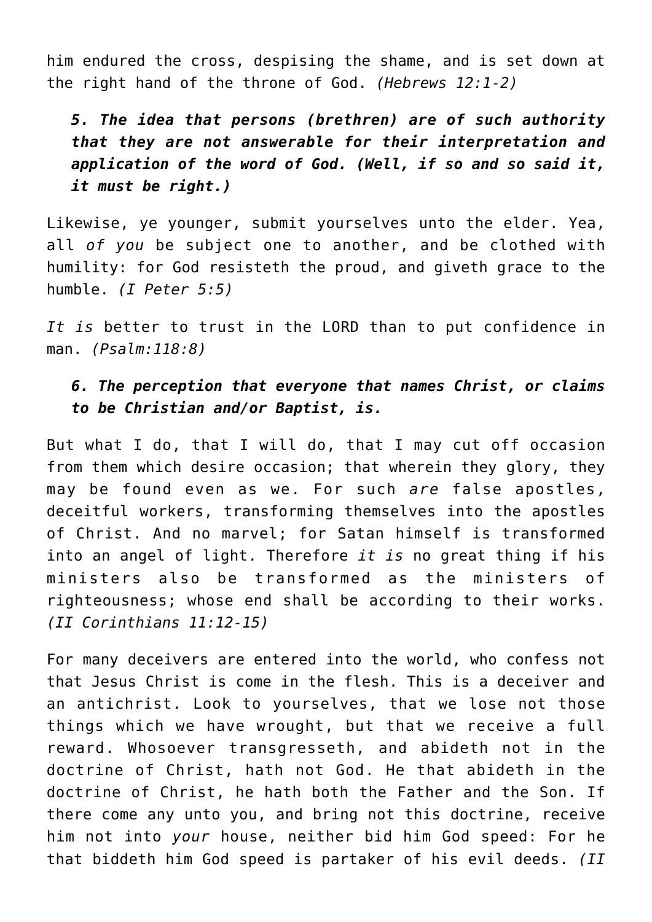him endured the cross, despising the shame, and is set down at the right hand of the throne of God. *(Hebrews 12:1-2)*

*5. The idea that persons (brethren) are of such authority that they are not answerable for their interpretation and application of the word of God. (Well, if so and so said it, it must be right.)*

Likewise, ye younger, submit yourselves unto the elder. Yea, all *of you* be subject one to another, and be clothed with humility: for God resisteth the proud, and giveth grace to the humble. *(I Peter 5:5)*

*It is* better to trust in the LORD than to put confidence in man. *(Psalm:118:8)*

## *6. The perception that everyone that names Christ, or claims to be Christian and/or Baptist, is.*

But what I do, that I will do, that I may cut off occasion from them which desire occasion; that wherein they glory, they may be found even as we. For such *are* false apostles, deceitful workers, transforming themselves into the apostles of Christ. And no marvel; for Satan himself is transformed into an angel of light. Therefore *it is* no great thing if his ministers also be transformed as the ministers of righteousness; whose end shall be according to their works. *(II Corinthians 11:12-15)*

For many deceivers are entered into the world, who confess not that Jesus Christ is come in the flesh. This is a deceiver and an antichrist. Look to yourselves, that we lose not those things which we have wrought, but that we receive a full reward. Whosoever transgresseth, and abideth not in the doctrine of Christ, hath not God. He that abideth in the doctrine of Christ, he hath both the Father and the Son. If there come any unto you, and bring not this doctrine, receive him not into *your* house, neither bid him God speed: For he that biddeth him God speed is partaker of his evil deeds. *(II*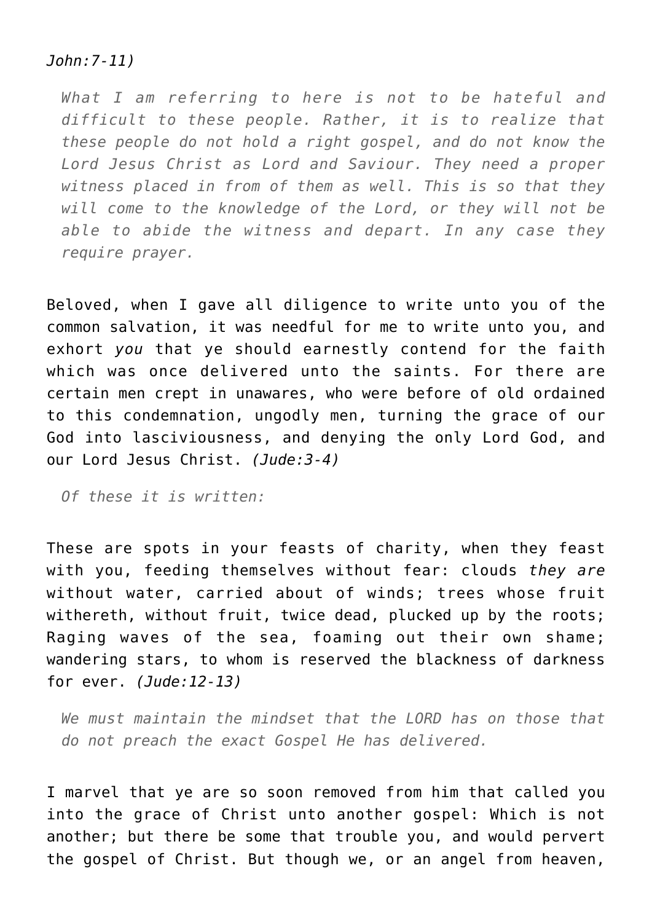#### *John:7-11)*

*What I am referring to here is not to be hateful and difficult to these people. Rather, it is to realize that these people do not hold a right gospel, and do not know the Lord Jesus Christ as Lord and Saviour. They need a proper witness placed in from of them as well. This is so that they will come to the knowledge of the Lord, or they will not be able to abide the witness and depart. In any case they require prayer.*

Beloved, when I gave all diligence to write unto you of the common salvation, it was needful for me to write unto you, and exhort *you* that ye should earnestly contend for the faith which was once delivered unto the saints. For there are certain men crept in unawares, who were before of old ordained to this condemnation, ungodly men, turning the grace of our God into lasciviousness, and denying the only Lord God, and our Lord Jesus Christ. *(Jude:3-4)*

*Of these it is written:*

These are spots in your feasts of charity, when they feast with you, feeding themselves without fear: clouds *they are* without water, carried about of winds; trees whose fruit withereth, without fruit, twice dead, plucked up by the roots; Raging waves of the sea, foaming out their own shame; wandering stars, to whom is reserved the blackness of darkness for ever. *(Jude:12-13)*

*We must maintain the mindset that the LORD has on those that do not preach the exact Gospel He has delivered.*

I marvel that ye are so soon removed from him that called you into the grace of Christ unto another gospel: Which is not another; but there be some that trouble you, and would pervert the gospel of Christ. But though we, or an angel from heaven,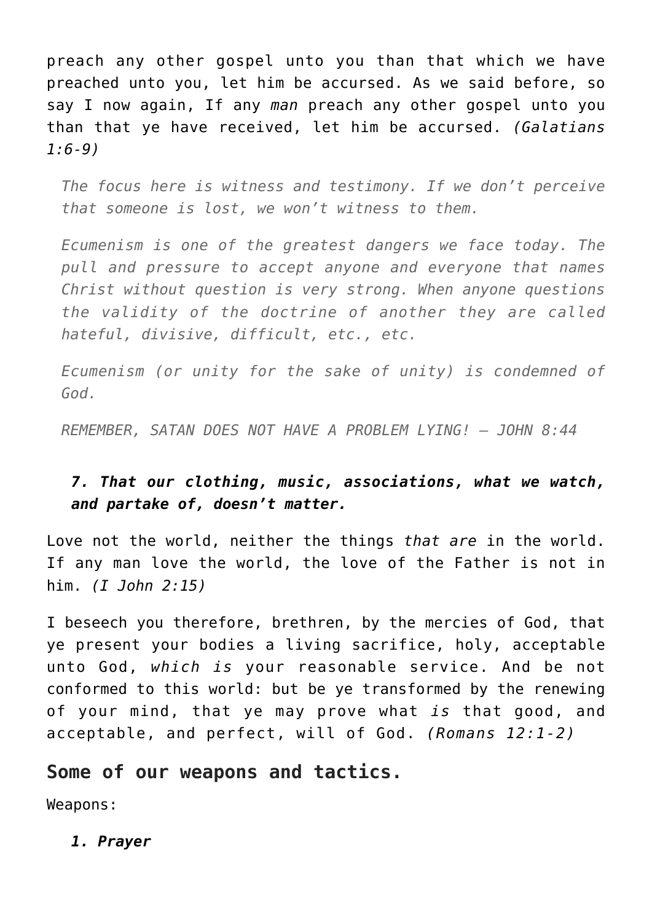preach any other gospel unto you than that which we have preached unto you, let him be accursed. As we said before, so say I now again, If any *man* preach any other gospel unto you than that ye have received, let him be accursed. *(Galatians 1:6-9)*

*The focus here is witness and testimony. If we don't perceive that someone is lost, we won't witness to them.*

*Ecumenism is one of the greatest dangers we face today. The pull and pressure to accept anyone and everyone that names Christ without question is very strong. When anyone questions the validity of the doctrine of another they are called hateful, divisive, difficult, etc., etc.*

*Ecumenism (or unity for the sake of unity) is condemned of God.*

*REMEMBER, SATAN DOES NOT HAVE A PROBLEM LYING! – JOHN 8:44*

## *7. That our clothing, music, associations, what we watch, and partake of, doesn't matter.*

Love not the world, neither the things *that are* in the world. If any man love the world, the love of the Father is not in him. *(I John 2:15)*

I beseech you therefore, brethren, by the mercies of God, that ye present your bodies a living sacrifice, holy, acceptable unto God, *which is* your reasonable service. And be not conformed to this world: but be ye transformed by the renewing of your mind, that ye may prove what *is* that good, and acceptable, and perfect, will of God. *(Romans 12:1-2)*

## **Some of our weapons and tactics.**

Weapons:

*1. Prayer*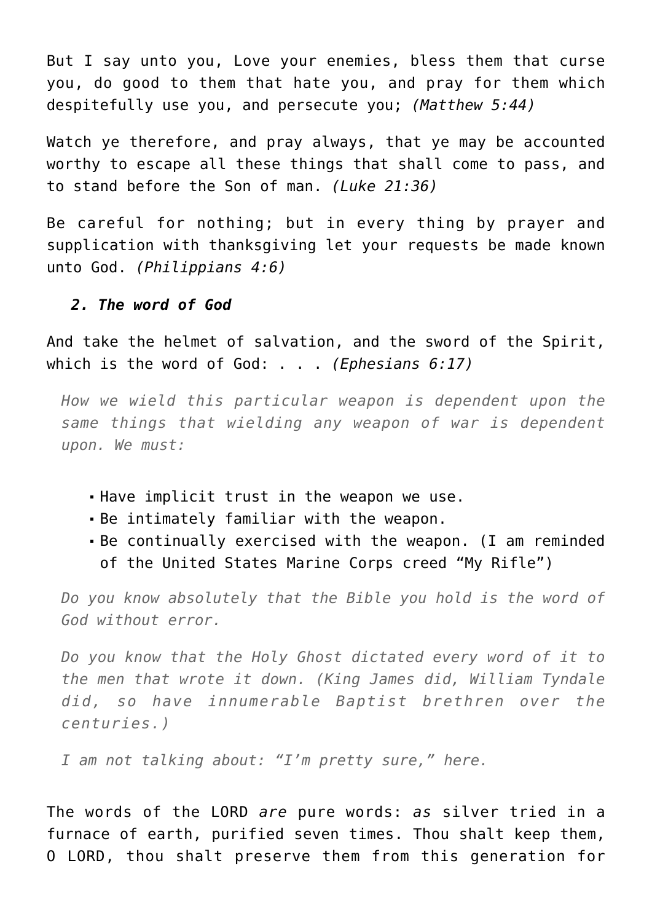But I say unto you, Love your enemies, bless them that curse you, do good to them that hate you, and pray for them which despitefully use you, and persecute you; *(Matthew 5:44)*

Watch ye therefore, and pray always, that ye may be accounted worthy to escape all these things that shall come to pass, and to stand before the Son of man. *(Luke 21:36)*

Be careful for nothing; but in every thing by prayer and supplication with thanksgiving let your requests be made known unto God. *(Philippians 4:6)*

#### *2. The word of God*

And take the helmet of salvation, and the sword of the Spirit, which is the word of God: . . . *(Ephesians 6:17)*

*How we wield this particular weapon is dependent upon the same things that wielding any weapon of war is dependent upon. We must:*

- Have implicit trust in the weapon we use.
- Be intimately familiar with the weapon.
- Be continually exercised with the weapon. (I am reminded of the United States Marine Corps creed "My Rifle")

*Do you know absolutely that the Bible you hold is the word of God without error.*

*Do you know that the Holy Ghost dictated every word of it to the men that wrote it down. (King James did, William Tyndale did, so have innumerable Baptist brethren over the centuries.)*

*I am not talking about: "I'm pretty sure," here.*

The words of the LORD *are* pure words: *as* silver tried in a furnace of earth, purified seven times. Thou shalt keep them, O LORD, thou shalt preserve them from this generation for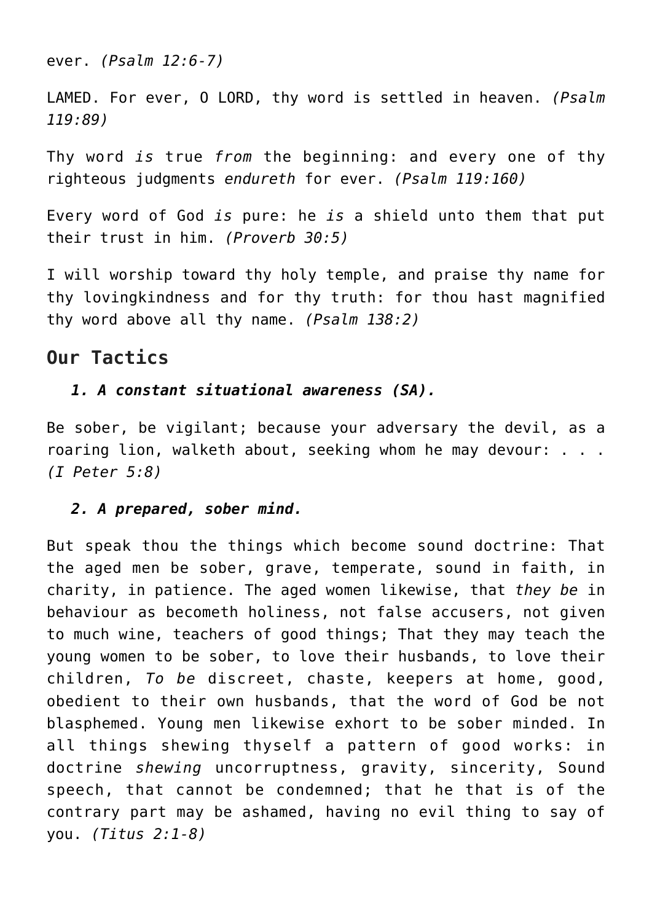ever. *(Psalm 12:6-7)*

LAMED. For ever, O LORD, thy word is settled in heaven. *(Psalm 119:89)*

Thy word *is* true *from* the beginning: and every one of thy righteous judgments *endureth* for ever. *(Psalm 119:160)*

Every word of God *is* pure: he *is* a shield unto them that put their trust in him. *(Proverb 30:5)*

I will worship toward thy holy temple, and praise thy name for thy lovingkindness and for thy truth: for thou hast magnified thy word above all thy name. *(Psalm 138:2)*

# **Our Tactics**

## *1. A constant situational awareness (SA).*

Be sober, be vigilant; because your adversary the devil, as a roaring lion, walketh about, seeking whom he may devour: . . . *(I Peter 5:8)*

## *2. A prepared, sober mind.*

But speak thou the things which become sound doctrine: That the aged men be sober, grave, temperate, sound in faith, in charity, in patience. The aged women likewise, that *they be* in behaviour as becometh holiness, not false accusers, not given to much wine, teachers of good things; That they may teach the young women to be sober, to love their husbands, to love their children, *To be* discreet, chaste, keepers at home, good, obedient to their own husbands, that the word of God be not blasphemed. Young men likewise exhort to be sober minded. In all things shewing thyself a pattern of good works: in doctrine *shewing* uncorruptness, gravity, sincerity, Sound speech, that cannot be condemned; that he that is of the contrary part may be ashamed, having no evil thing to say of you. *(Titus 2:1-8)*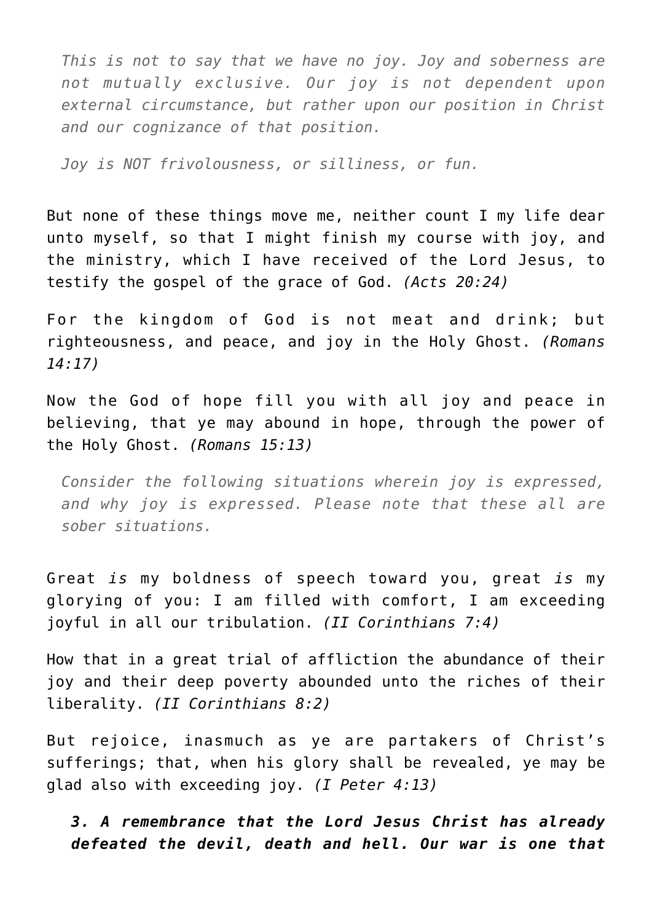*This is not to say that we have no joy. Joy and soberness are not mutually exclusive. Our joy is not dependent upon external circumstance, but rather upon our position in Christ and our cognizance of that position.*

*Joy is NOT frivolousness, or silliness, or fun.*

But none of these things move me, neither count I my life dear unto myself, so that I might finish my course with joy, and the ministry, which I have received of the Lord Jesus, to testify the gospel of the grace of God. *(Acts 20:24)*

For the kingdom of God is not meat and drink; but righteousness, and peace, and joy in the Holy Ghost. *(Romans 14:17)*

Now the God of hope fill you with all joy and peace in believing, that ye may abound in hope, through the power of the Holy Ghost. *(Romans 15:13)*

*Consider the following situations wherein joy is expressed, and why joy is expressed. Please note that these all are sober situations.*

Great *is* my boldness of speech toward you, great *is* my glorying of you: I am filled with comfort, I am exceeding joyful in all our tribulation. *(II Corinthians 7:4)*

How that in a great trial of affliction the abundance of their joy and their deep poverty abounded unto the riches of their liberality. *(II Corinthians 8:2)*

But rejoice, inasmuch as ye are partakers of Christ's sufferings; that, when his glory shall be revealed, ye may be glad also with exceeding joy. *(I Peter 4:13)*

## *3. A remembrance that the Lord Jesus Christ has already defeated the devil, death and hell. Our war is one that*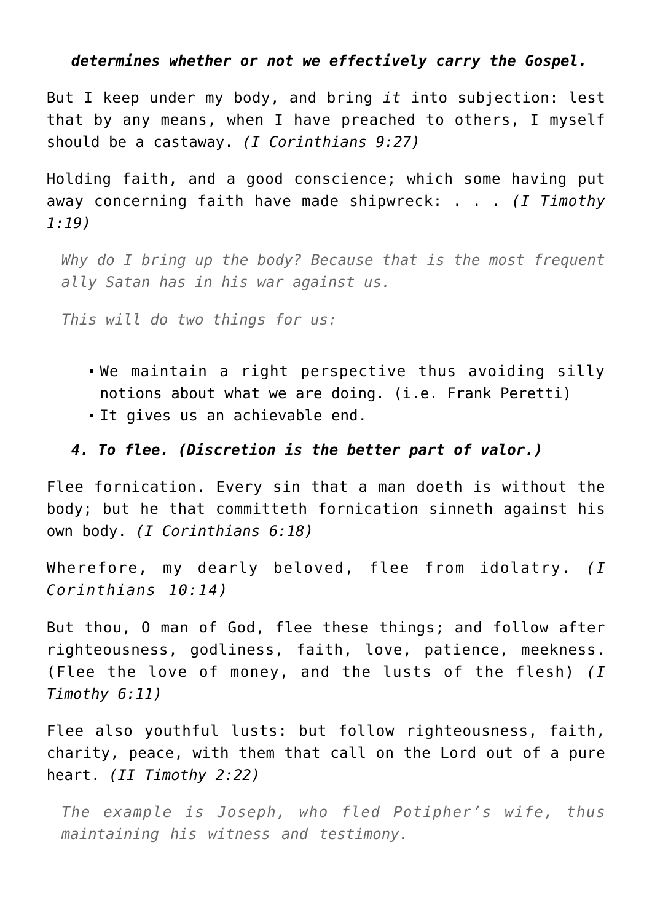#### *determines whether or not we effectively carry the Gospel.*

But I keep under my body, and bring *it* into subjection: lest that by any means, when I have preached to others, I myself should be a castaway. *(I Corinthians 9:27)*

Holding faith, and a good conscience; which some having put away concerning faith have made shipwreck: . . . *(I Timothy 1:19)*

*Why do I bring up the body? Because that is the most frequent ally Satan has in his war against us.*

*This will do two things for us:*

- We maintain a right perspective thus avoiding silly notions about what we are doing. (i.e. Frank Peretti)
- It gives us an achievable end.

#### *4. To flee. (Discretion is the better part of valor.)*

Flee fornication. Every sin that a man doeth is without the body; but he that committeth fornication sinneth against his own body. *(I Corinthians 6:18)*

Wherefore, my dearly beloved, flee from idolatry. *(I Corinthians 10:14)*

But thou, O man of God, flee these things; and follow after righteousness, godliness, faith, love, patience, meekness. (Flee the love of money, and the lusts of the flesh) *(I Timothy 6:11)*

Flee also youthful lusts: but follow righteousness, faith, charity, peace, with them that call on the Lord out of a pure heart. *(II Timothy 2:22)*

*The example is Joseph, who fled Potipher's wife, thus maintaining his witness and testimony.*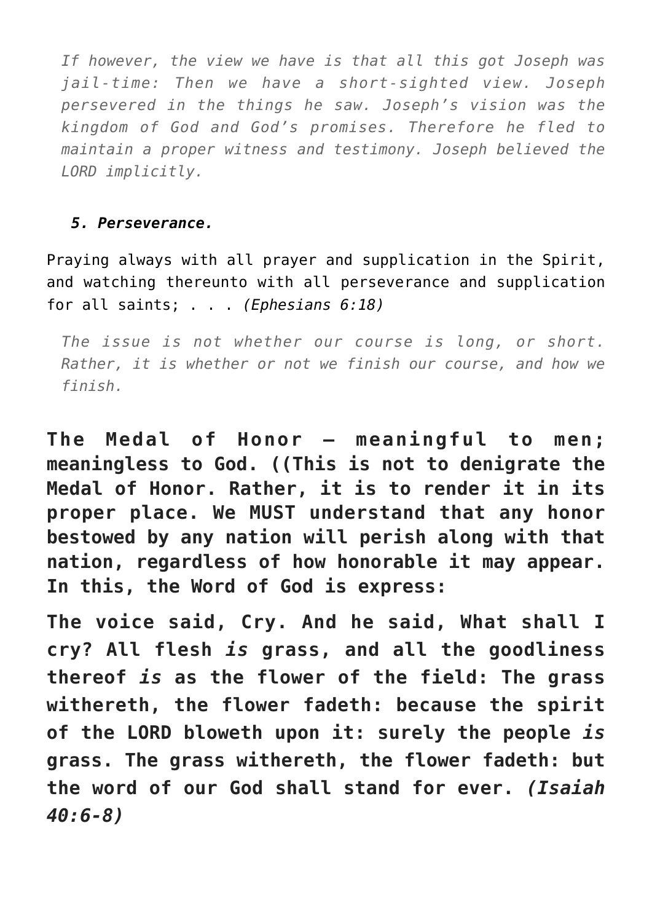*If however, the view we have is that all this got Joseph was jail-time: Then we have a short-sighted view. Joseph persevered in the things he saw. Joseph's vision was the kingdom of God and God's promises. Therefore he fled to maintain a proper witness and testimony. Joseph believed the LORD implicitly.*

## *5. Perseverance.*

Praying always with all prayer and supplication in the Spirit, and watching thereunto with all perseverance and supplication for all saints; . . . *(Ephesians 6:18)*

*The issue is not whether our course is long, or short. Rather, it is whether or not we finish our course, and how we finish.*

**The Medal of Honor — meaningful to men; meaningless to God. ((This is not to denigrate the Medal of Honor. Rather, it is to render it in its proper place. We MUST understand that any honor bestowed by any nation will perish along with that nation, regardless of how honorable it may appear. In this, the Word of God is express:**

**The voice said, Cry. And he said, What shall I cry? All flesh** *is* **grass, and all the goodliness thereof** *is* **as the flower of the field: The grass withereth, the flower fadeth: because the spirit of the LORD bloweth upon it: surely the people** *is* **grass. The grass withereth, the flower fadeth: but the word of our God shall stand for ever.** *(Isaiah 40:6-8)*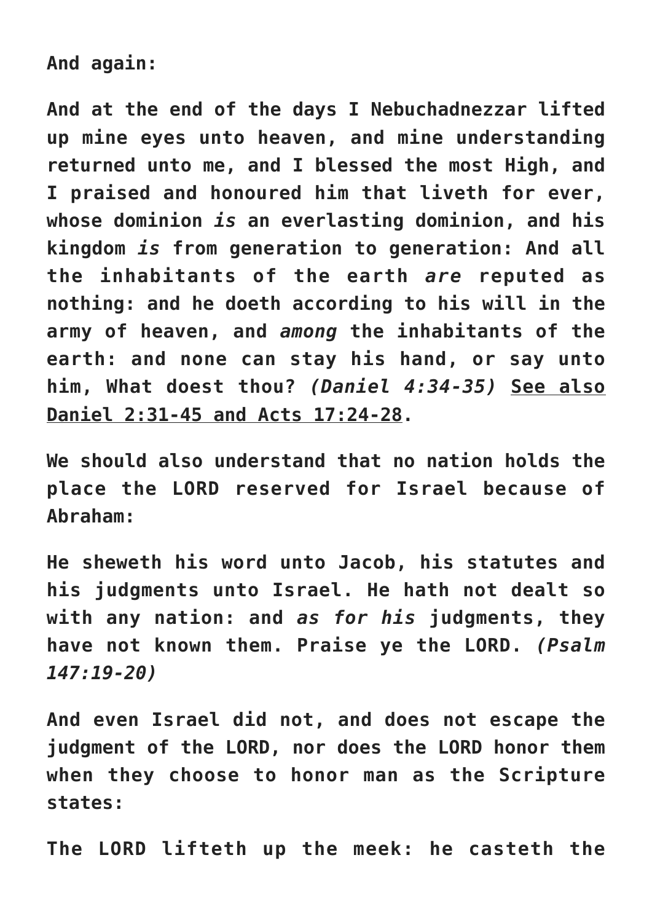**And again:**

**And at the end of the days I Nebuchadnezzar lifted up mine eyes unto heaven, and mine understanding returned unto me, and I blessed the most High, and I praised and honoured him that liveth for ever, whose dominion** *is* **an everlasting dominion, and his kingdom** *is* **from generation to generation: And all the inhabitants of the earth** *are* **reputed as nothing: and he doeth according to his will in the army of heaven, and** *among* **the inhabitants of the earth: and none can stay his hand, or say unto him, What doest thou?** *(Daniel 4:34-35)* **See also Daniel 2:31-45 and Acts 17:24-28.**

**We should also understand that no nation holds the place the LORD reserved for Israel because of Abraham:**

**He sheweth his word unto Jacob, his statutes and his judgments unto Israel. He hath not dealt so with any nation: and** *as for his* **judgments, they have not known them. Praise ye the LORD.** *(Psalm 147:19-20)*

**And even Israel did not, and does not escape the judgment of the LORD, nor does the LORD honor them when they choose to honor man as the Scripture states:**

**The LORD lifteth up the meek: he casteth the**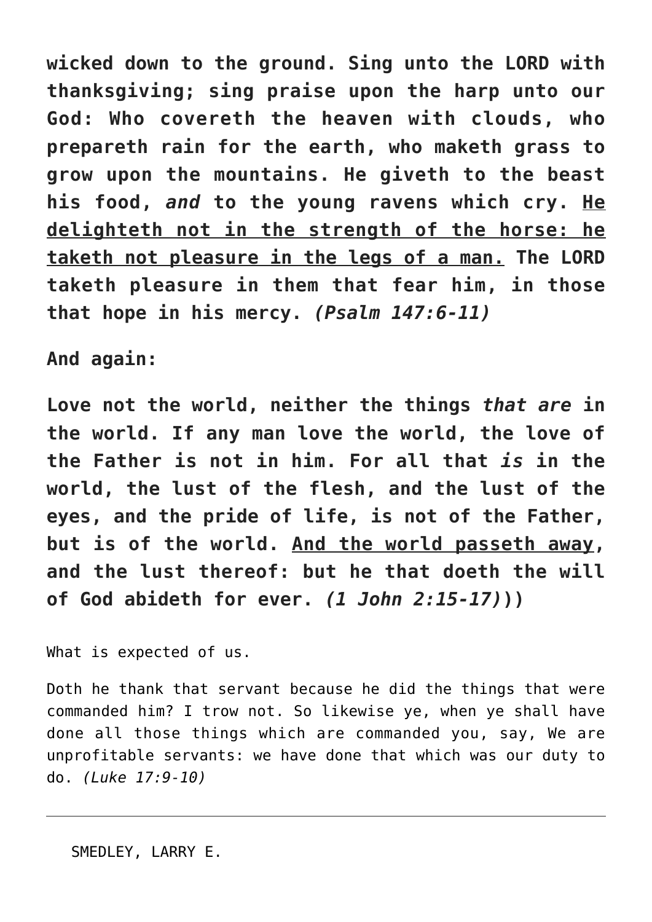**wicked down to the ground. Sing unto the LORD with thanksgiving; sing praise upon the harp unto our God: Who covereth the heaven with clouds, who prepareth rain for the earth, who maketh grass to grow upon the mountains. He giveth to the beast his food,** *and* **to the young ravens which cry. He delighteth not in the strength of the horse: he taketh not pleasure in the legs of a man. The LORD taketh pleasure in them that fear him, in those that hope in his mercy.** *(Psalm 147:6-11)*

**And again:**

**Love not the world, neither the things** *that are* **in the world. If any man love the world, the love of the Father is not in him. For all that** *is* **in the world, the lust of the flesh, and the lust of the eyes, and the pride of life, is not of the Father, but is of the world. And the world passeth away, and the lust thereof: but he that doeth the will of God abideth for ever.** *(1 John 2:15-17)***))**

What is expected of us.

Doth he thank that servant because he did the things that were commanded him? I trow not. So likewise ye, when ye shall have done all those things which are commanded you, say, We are unprofitable servants: we have done that which was our duty to do. *(Luke 17:9-10)*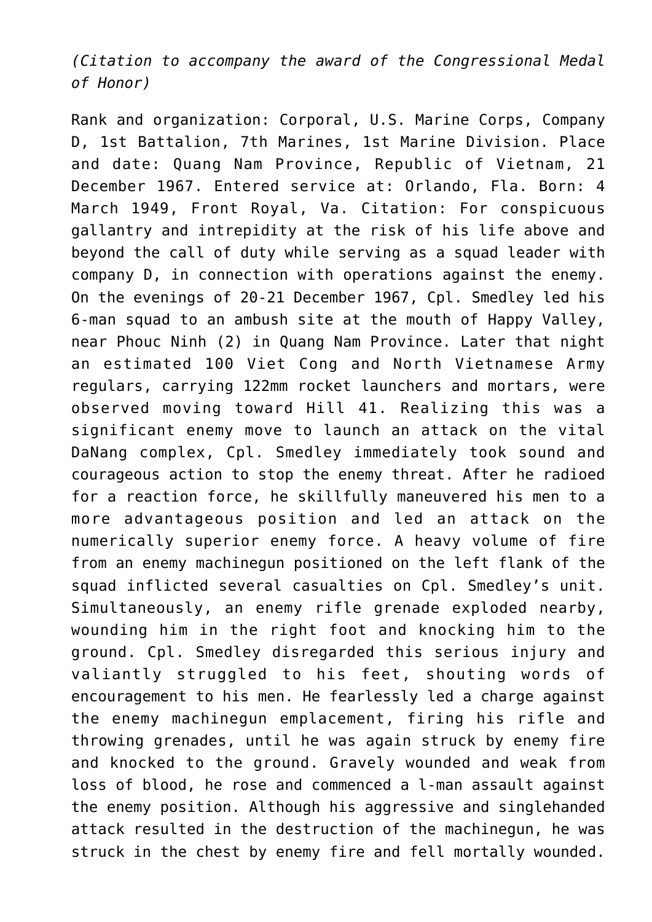*(Citation to accompany the award of the Congressional Medal of Honor)*

Rank and organization: Corporal, U.S. Marine Corps, Company D, 1st Battalion, 7th Marines, 1st Marine Division. Place and date: Quang Nam Province, Republic of Vietnam, 21 December 1967. Entered service at: Orlando, Fla. Born: 4 March 1949, Front Royal, Va. Citation: For conspicuous gallantry and intrepidity at the risk of his life above and beyond the call of duty while serving as a squad leader with company D, in connection with operations against the enemy. On the evenings of 20-21 December 1967, Cpl. Smedley led his 6-man squad to an ambush site at the mouth of Happy Valley, near Phouc Ninh (2) in Quang Nam Province. Later that night an estimated 100 Viet Cong and North Vietnamese Army regulars, carrying 122mm rocket launchers and mortars, were observed moving toward Hill 41. Realizing this was a significant enemy move to launch an attack on the vital DaNang complex, Cpl. Smedley immediately took sound and courageous action to stop the enemy threat. After he radioed for a reaction force, he skillfully maneuvered his men to a more advantageous position and led an attack on the numerically superior enemy force. A heavy volume of fire from an enemy machinegun positioned on the left flank of the squad inflicted several casualties on Cpl. Smedley's unit. Simultaneously, an enemy rifle grenade exploded nearby, wounding him in the right foot and knocking him to the ground. Cpl. Smedley disregarded this serious injury and valiantly struggled to his feet, shouting words of encouragement to his men. He fearlessly led a charge against the enemy machinegun emplacement, firing his rifle and throwing grenades, until he was again struck by enemy fire and knocked to the ground. Gravely wounded and weak from loss of blood, he rose and commenced a l-man assault against the enemy position. Although his aggressive and singlehanded attack resulted in the destruction of the machinegun, he was struck in the chest by enemy fire and fell mortally wounded.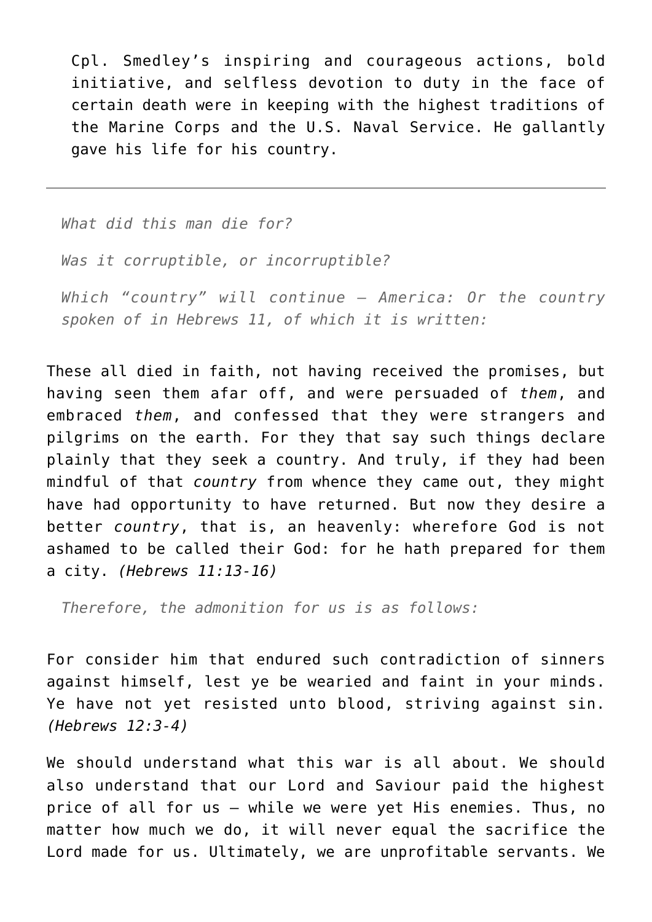Cpl. Smedley's inspiring and courageous actions, bold initiative, and selfless devotion to duty in the face of certain death were in keeping with the highest traditions of the Marine Corps and the U.S. Naval Service. He gallantly gave his life for his country.

*What did this man die for?*

*Was it corruptible, or incorruptible?*

*Which "country" will continue — America: Or the country spoken of in Hebrews 11, of which it is written:*

These all died in faith, not having received the promises, but having seen them afar off, and were persuaded of *them*, and embraced *them*, and confessed that they were strangers and pilgrims on the earth. For they that say such things declare plainly that they seek a country. And truly, if they had been mindful of that *country* from whence they came out, they might have had opportunity to have returned. But now they desire a better *country*, that is, an heavenly: wherefore God is not ashamed to be called their God: for he hath prepared for them a city. *(Hebrews 11:13-16)*

*Therefore, the admonition for us is as follows:*

For consider him that endured such contradiction of sinners against himself, lest ye be wearied and faint in your minds. Ye have not yet resisted unto blood, striving against sin. *(Hebrews 12:3-4)*

We should understand what this war is all about. We should also understand that our Lord and Saviour paid the highest price of all for us — while we were yet His enemies. Thus, no matter how much we do, it will never equal the sacrifice the Lord made for us. Ultimately, we are unprofitable servants. We